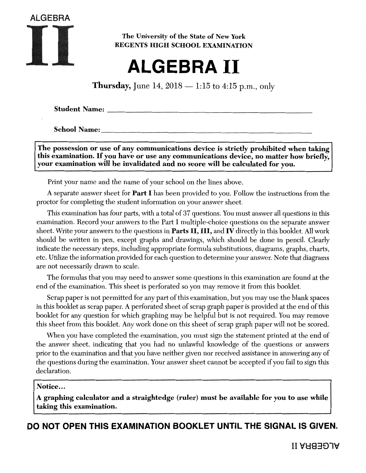

The University of the State of New York REGENTS HIGH SCHOOL EXAMINATION

# **ALGEBRA II**

**Thursday,** June 14,  $2018 - 1:15$  to  $4:15$  p.m., only

**Student Name:** 

**School Name:** 

The possession or use of any communications device is strictly prohibited when taking this examination. If you have or use any communications device, no matter how briefly, your examination will be invalidated and no score will be calculated for you.

Print your name and the name of your school on the lines above.

A separate answer sheet for Part I has been provided to you. Follow the instructions from the proctor for completing the student information on your answer sheet.

This examination has four parts, with a total of 37 questions. You must answer all questions in this examination. Record your answers to the Part I multiple-choice questions on the separate answer sheet. Write your answers to the questions in Parts II, III, and IV directly in this booklet. All work should be written in pen, except graphs and drawings, which should be done in pencil. Clearly indicate the necessary steps, including appropriate formula substitutions, diagrams, graphs, charts, etc. Utilize the information provided for each question to determine your answer. Note that diagrams are not necessarily drawn to scale.

The formulas that you may need to answer some questions in this examination are found at the end of the examination. This sheet is perforated so you may remove it from this booklet.

Scrap paper is not permitted for any part of this examination, but you may use the blank spaces in this booklet as scrap paper. A perforated sheet of scrap graph paper is provided at the end of this booklet for any question for which graphing may be helpful but is not required. You may remove this sheet from this booklet. Any work done on this sheet of scrap graph paper will not be scored.

When you have completed the examination, you must sign the statement printed at the end of the answer sheet, indicating that you had no unlawful knowledge of the questions or answers prior to the examination and that you have neither given nor received assistance in answering any of the questions during the examination. Your answer sheet cannot be accepted if you fail to sign this declaration.

Notice...

A graphing calculator and a straightedge (ruler) must be available for you to use while taking this examination.

**DO NOT OPEN THIS EXAMINATION BOOKLET UNTIL THE SIGNAL IS GIVEN.** 

II V'l:l8381V'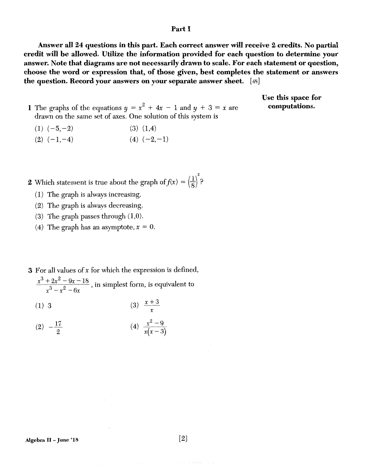#### Part I

Answer all 24 questions in this part. Each correct answer will receive 2 credits. No partial credit will be allowed. Utilize the information provided for each question to determine your answer. Note that diagrams are not necessarily drawn to scale. For each statement or question, choose the word or expression that, of those given, best completes the statement or answers the question. Record your answers on your separate answer sheet. [ 48]

> Use this space for computations.

- 1 The graphs of the equations  $y = x^2 + 4x 1$  and  $y + 3 = x$  are drawn on the same set of axes. One solution of this system is
	- $(1)$   $(-5, -2)$ (3) (1,4)
	- $(2)$   $(-1,-4)$  $(4)$   $(-2,-1)$
- *x*  2 Which statement is true about the graph of  $f(x) = \left(\frac{1}{8}\right)^5$ ?
	- ( 1) The graph is always increasing.
	- (2) The graph is always decreasing.
	- (3) The graph passes through  $(1,0)$ .
	- (4) The graph has an asymptote,  $x = 0$ .
- 3 For all values of *x* for which the expression is defined,

 $\frac{x^3 + 2x^2 - 9x - 18}{x^3 - x^2 - 6x}$ , in simplest form, is equivalent to

(1) 3  $(3) \frac{x+3}{x+3}$ *x* 

$$
(2) -\frac{17}{2} \qquad \qquad (4) \frac{x^2 - 9}{x(x - 3)}
$$

Algebra II - June '18

[2]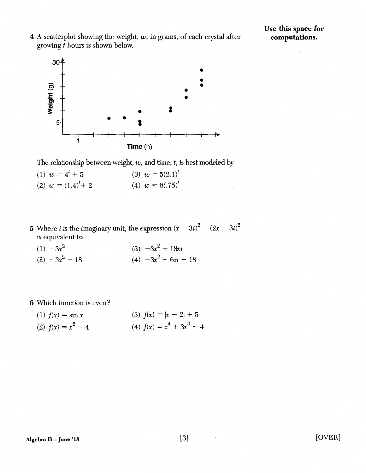**4** A scatterplot showing the weight, w, in grams, of each crystal after growing *t* hours is shown below.



The relationship between weight, *w,* and time, *t,* is best modeled by

- (1)  $w = 4^t + 5$  (3)  $w = 5(2.1)^t$ (2)  $w = (1.4)^t + 2$  (4)  $w = 8(.75)^t$
- **5** Where *i* is the imaginary unit, the expression  $(x + 3i)^2 (2x 3i)^2$ is equivalent to
	- (1)  $-3x^2$  (3)  $-3x^2 + 18xi$  $(2)$   $-3x^2 - 18$   $(4)$   $-3x^2 - 6xi - 18$

#### **6** Which function is even?

(1)  $f(x) = \sin x$ (2)  $f(x) = x^2 - 4$ (3)  $f(x) = |x - 2| + 5$ (4)  $f(x) = x^4 + 3x^3 + 4$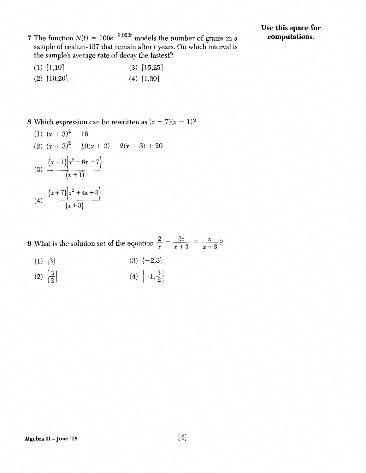- **Use this space for computations.**
- **7** The function  $N(t) = 100e^{-0.023t}$  models the number of grams in a sample of cesium-137 that remain after *t* years. On which interval is the sample's average rate of decay the fastest?
	- (1) [1,10] (2) [10,20] (3) [15,25] (4) [1,30]
- 

8 Which expression can be rewritten as  $(x + 7)(x - 1)$ ?

- (1)  $(x+3)^2-16$ (2)  $(x + 3)^2 - 10(x + 3) - 2(x + 3) + 20$  $(x-1)(x^2-6x-7)$ (3)  $\frac{1}{(x+1)}$  $(x+7)(x^2+4x+3)$  $\frac{1}{x+3}$
- **9** What is the solution set of the equation  $\frac{2}{x} \frac{3x}{x+3} = \frac{x}{x+3}$ ?
	- (1) {3}  $(3)$  {-2,3}
	- $(2) \left\{ \frac{3}{2} \right\}$ (4)  $\left\{-1, \frac{3}{2}\right\}$

[4]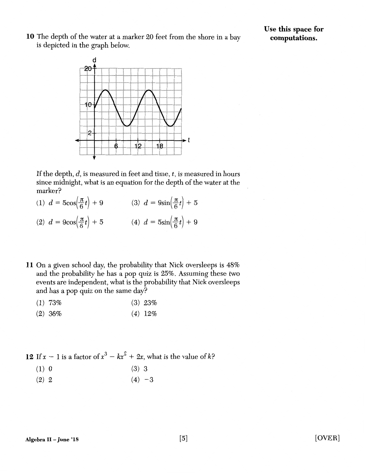Use **this** space for **computations.** 

**10** The depth of the water at a marker 20 feet from the shore in a bay is depicted in the graph below.



If the depth, *d,* is measured in feet and time, *t,* is measured in hours since midnight, what is an equation for the depth of the water at the marker?

- (1)  $d = 5\cos\left(\frac{\pi}{6}t\right) + 9$  (3)  $d = 9\sin\left(\frac{\pi}{6}t\right) + 5$ (2)  $d = 9\cos(\frac{\pi}{6}t) + 5$  (4)  $d = 5\sin(\frac{\pi}{6}t) + 9$
- **11** On a given school day, the probability that Nick oversleeps is 48% and the probability he has a pop quiz is 25%. Assuming these two events are independent, what is the probability that Nick oversleeps and has a pop quiz on the same day?
	- (1) 73% (3) 23%
	- $(2)$  36% (4) 12%

**12** If  $x - 1$  is a factor of  $x^3 - kx^2 + 2x$ , what is the value of k?

- $(1) 0$ (3) 3
- (2) 2  $(4) -3$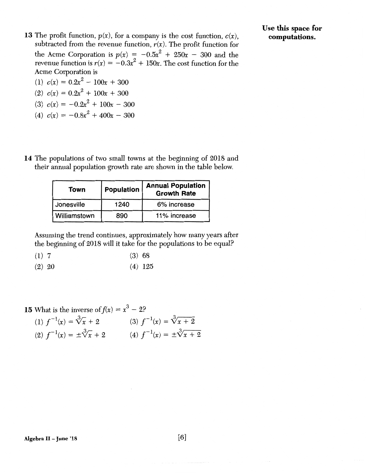**13** The profit function,  $p(x)$ , for a company is the cost function,  $c(x)$ , subtracted from the revenue function,  $r(x)$ . The profit function for the Acme Corporation is  $p(x) = -0.5x^2 + 250x - 300$  and the revenue function is  $r(x) = -0.3x^2 + 150x$ . The cost function for the Acme Corporation is

- (1)  $c(x) = 0.2x^2 100x + 300$
- (2)  $c(x) = 0.2x^2 + 100x + 300$
- (3)  $c(x) = -0.2x^2 + 100x 300$
- (4)  $c(x) = -0.8x^2 + 400x 300$
- **14** The populations of two small towns at the beginning of 2018 and their annual population growth rate are shown in the table below.

| Town         | <b>Population</b> | <b>Annual Population</b>  <br><b>Growth Rate</b> |
|--------------|-------------------|--------------------------------------------------|
| Jonesville   | 1240              | 6% increase                                      |
| Williamstown | 890               | 11% increase                                     |

Assuming the trend continues, approximately how many years after the beginning of 2018 will it take for the populations to be equal?

- (1) 7 (3) 68
- $(2)$  20  $(4)$  125

**15** What is the inverse of  $f(x) = x^3 - 2$ ?

(1)  $f^{-1}(x) = \sqrt[3]{x} + 2$  (3)  $f^{-1}(x) = \sqrt[3]{x} + 2$ (2)  $f^{-1}(x) = \pm \sqrt[3]{x} + 2$  (4)  $f^{-1}(x) = \pm \sqrt[3]{x} + 2$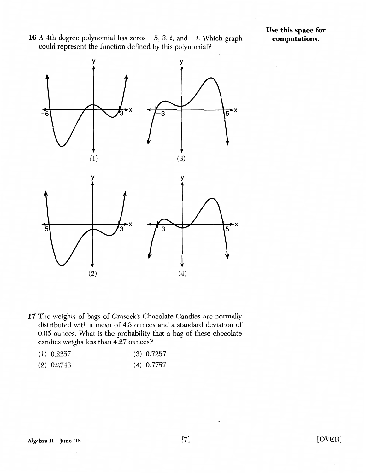Use this space for computations.





17 The weights of bags of Graseck's Chocolate Candies are normally distributed with a mean of 4.3 ounces and a standard deviation of 0.05 ounces. What is the probability that a bag of these chocolate candies weighs less than 4.27 ounces?

|  | $(1)$ 0.2257 |  | $(3)$ 0.7257 |
|--|--------------|--|--------------|
|--|--------------|--|--------------|

(2) 0.2743 (4) 0.7757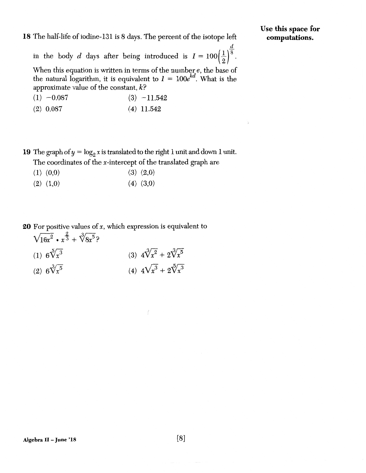18 The half-life of iodine-131 is 8 days. The percent of the isotope left

Use this space for computations.

 $\overline{d}$ in the body *d* days after being introduced is  $I = 100 \left(\frac{1}{2}\right)^8$ .

When this equation is written in terms of the number *e,* the base of the natural logarithm, it is equivalent to  $I = 100e^{kd}$ . What is the approximate value of the constant,  $k$ ?

 $(1)$   $-0.087$   $(3)$   $-11.542$ 

(2) 0.087 (4) 11.542

19 The graph of  $y = log_2 x$  is translated to the right 1 unit and down 1 unit. The coordinates of the  $x$ -intercept of the translated graph are

- (1)  $(0,0)$  (3)  $(2,0)$
- $(2)$   $(1,0)$   $(4)$   $(3,0)$

## 20 For positive values of *x,* which expression is equivalent to  $\sqrt{16x^2} \cdot x^{\frac{2}{3}} + \sqrt[3]{8x^5}$ ?

| (1) $6\sqrt[5]{x^3}$ | (3) $4\sqrt[3]{x^2} + 2\sqrt[3]{x^5}$ |
|----------------------|---------------------------------------|
| (2) $6\sqrt[3]{x^5}$ | (4) $4\sqrt{x^3} + 2\sqrt[5]{x^3}$    |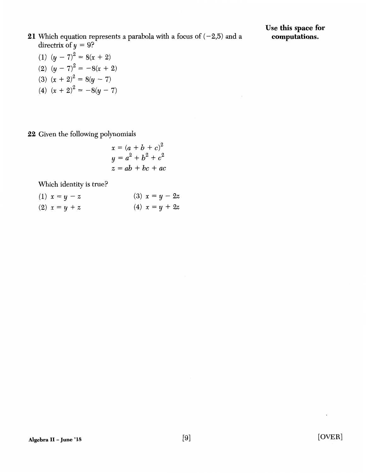**Use this space for computations.** 

- **21** Which equation represents a parabola with a focus of  $(-2,5)$  and a directrix of  $y = 9$ ?
	- (1)  $(y 7)^2 = 8(x + 2)$ (2)  $(y - 7)^2 = -8(x + 2)$
	- (3)  $(x + 2)^2 = 8(y 7)$
	- (4)  $(x + 2)^2 = -8(y 7)$

**22** Given the following polynomials

$$
x = (a + b + c)2
$$
  
\n
$$
y = a2 + b2 + c2
$$
  
\n
$$
z = ab + bc + ac
$$

Which identity is true?

| (1) $x = y - z$ | (3) $x = y - 2z$ |
|-----------------|------------------|
| (2) $x = y + z$ | (4) $x = y + 2z$ |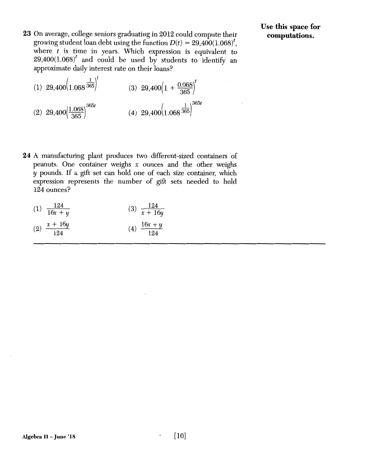23 On average, college seniors graduating in 2012 could compute their growing student loan debt using the function  $D(t) = 29,400(1.068)^t$ , where  $t$  is time in years. Which expression is equivalent to  $29,400(1.068)^t$  and could be used by students to identify an approximate daily interest rate on their loans?

(1) 
$$
29,400 \left( 1.068 \frac{1}{365} \right)^t
$$
  
\n(2)  $29,400 \left( \frac{1.068}{365} \right)^{365t}$   
\n(3)  $29,400 \left( 1 + \frac{0.068}{365} \right)^t$   
\n(4)  $29,400 \left( 1.068 \frac{1}{365} \right)^{365t}$ 

24 A manufacturing plant produces two different-sized containers of peanuts. One container weighs *x* ounces and the other weighs  $y$  pounds. If a gift set can hold one of each size container, which expression represents the number of gift sets needed to hold 124 ounces?

| (1) $\frac{124}{16x + y}$ | (3) $\frac{124}{x + 16y}$ |
|---------------------------|---------------------------|
| (2) $\frac{x + 16y}{124}$ | (4) $\frac{16x + y}{124}$ |

 $\pmb{\cdot}$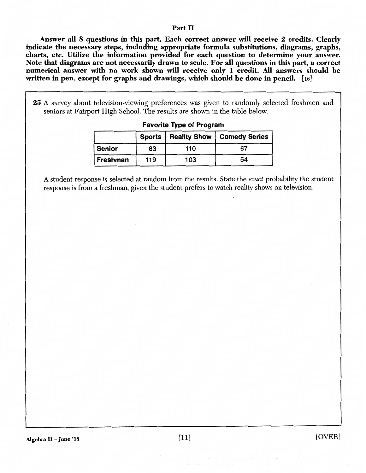#### Part II

Answer all 8 questions in this part. Each correct answer will receive 2 credits. Clearly indicate the necessary steps, including appropriate formula substitutions, diagrams, graphs, charts, etc. Utilize the information provided for each question to determine your answer. Note that diagrams are not necessarily drawn to scale. For all questions in this part, a correct numerical answer with no work shown will receive only 1 credit. All answers should be written in pen, except for graphs and drawings, which should be done in pencil. [16]

25 A survey about television-viewing preferences was given to randomly selected freshmen and seniors at Fairport High School. The results are shown in the table below.

|               |     |     | Sports   Reality Show   Comedy Series |
|---------------|-----|-----|---------------------------------------|
| <b>Senior</b> | 83  | 110 | 67                                    |
| Freshman      | 119 | 103 | 54                                    |

|  |  |  | <b>Favorite Type of Program</b> |
|--|--|--|---------------------------------|
|--|--|--|---------------------------------|

A student response is selected at random from the results. State the *exact* probability the student response is from a freshman, given the student prefers to watch reality shows on television.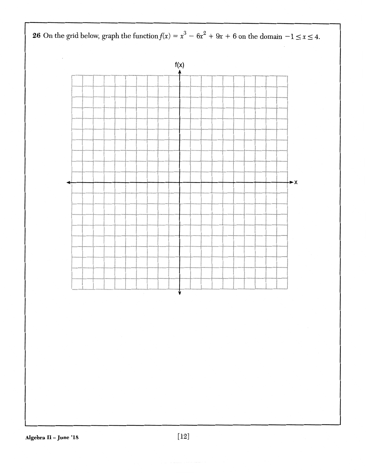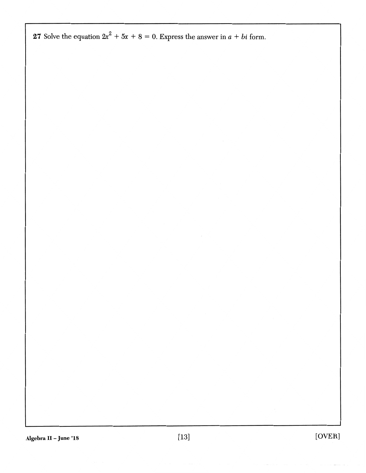**27** Solve the equation  $2x^2 + 5x + 8 = 0$ . Express the answer in  $a + bi$  form.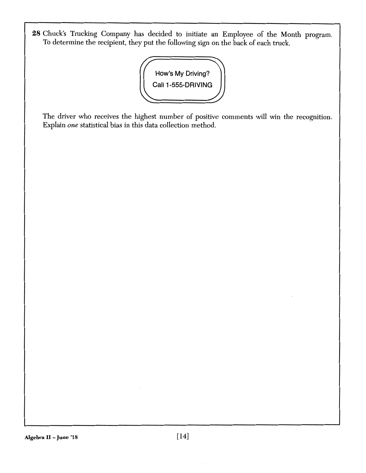28 Chuck's Trucking Company has decided to initiate an Employee of the Month program. To determine the recipient, they put the following sign on the back of each truck.



The driver who receives the highest number of positive comments will win the recognition. Explain *one* statistical bias in this data collection method.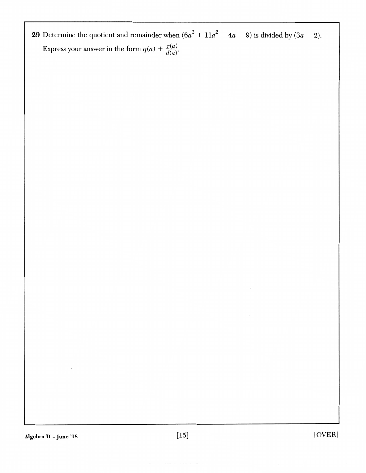**29** Determine the quotient and remainder when  $(6a^3 + 11a^2 - 4a - 9)$  is divided by  $(3a - 2)$ . Express your answer in the form  $q(a) + \frac{r(a)}{d(a)}$ .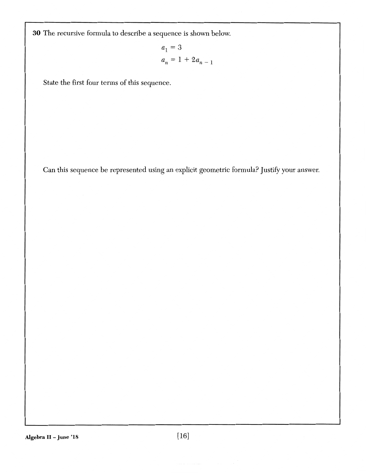30 The recursive formula to describe a sequence is shown below.

$$
a_1 = 3
$$
  

$$
a_n = 1 + 2a_{n-1}
$$

State the first four terms of this sequence.

Can this sequence be represented using an explicit geometric formula? Justify your answer.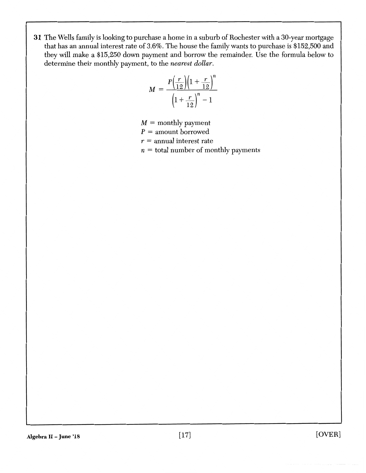31 The Wells family is looking to purchase a home in a suburb of Rochester with a 30-year mortgage that has an annual interest rate of 3.6%. The house the family wants to purchase is \$152,500 and they will make a \$15,250 down payment and borrow the remainder. Use the formula below to determine their monthly payment, to the *nearest dollar.* 

$$
M = \frac{P\left(\frac{r}{12}\right)\left(1 + \frac{r}{12}\right)^n}{\left(1 + \frac{r}{12}\right)^n - 1}
$$

- $M =$  monthly payment
- $P =$  amount borrowed
- $r =$  annual interest rate
- $n =$  total number of monthly payments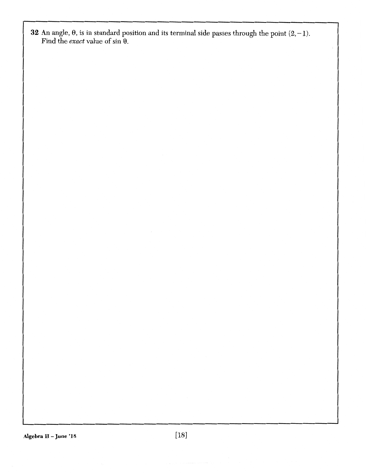**32** An angle,  $\theta$ , is in standard position and its terminal side passes through the point  $(2, -1)$ . Find the *exact* value of sin 8.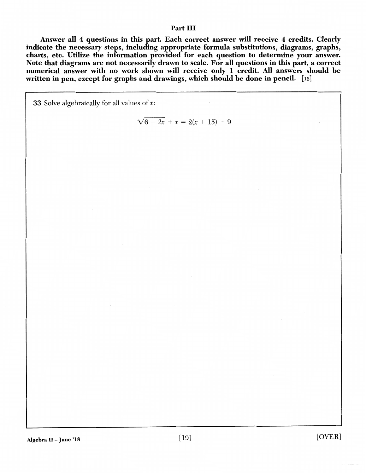#### Part III

Answer all 4 questions in this part. Each correct answer will receive 4 credits. Clearly indicate the necessary steps, including appropriate formula substitutions, diagrams, graphs, charts, etc. Utilize the information provided for each question to determine your answer. Note that diagrams are not necessarily drawn to scale. For all questions in this part, a correct numerical answer with no work shown will receive only 1 credit. All answers should be written in pen, except for graphs and drawings, which should be done in pencil. [16]

**33** Solve algebraically for all values of  $x$ :

 $\sqrt{6-2x} + x = 2(x + 15) - 9$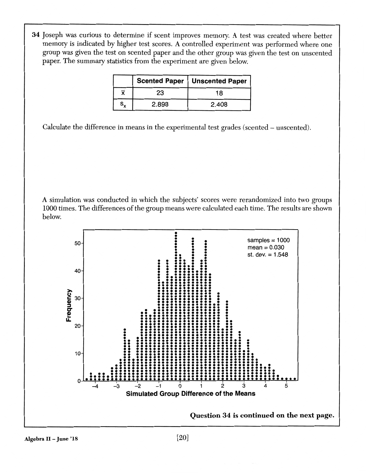34 Joseph was curious to determine if scent improves *memory.* A test was created where better *memory* is indicated by higher test scores. A controlled experiment was performed where one group was given the test on scented paper and the other group was given the test on unscented paper. The summary statistics from the experiment are given below.

|                         |       | <b>Scented Paper   Unscented Paper</b> |  |
|-------------------------|-------|----------------------------------------|--|
| $\overline{\mathsf{x}}$ | 23    | 18                                     |  |
|                         | 2.898 | 2.408                                  |  |

Calculate the difference in means in the experimental test grades (scented - unscented).

A simulation was conducted in which the subjects' scores were rerandomized into two groups 1000 times. The differences of the group means were calculated each time. The results are shown below.

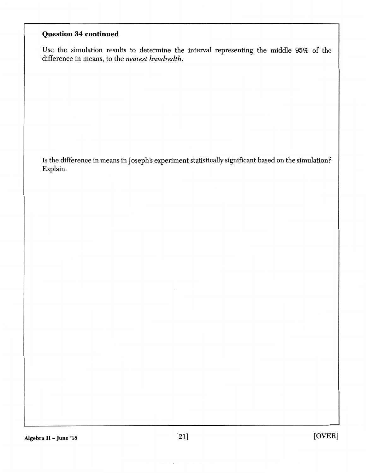### **Question 34 continued**

Use the simulation results to determine the interval representing the middle 95% of the difference in means, to the *nearest hundredth.* 

Is the difference in means in Joseph's experiment statistically significant based on the simulation? Explain.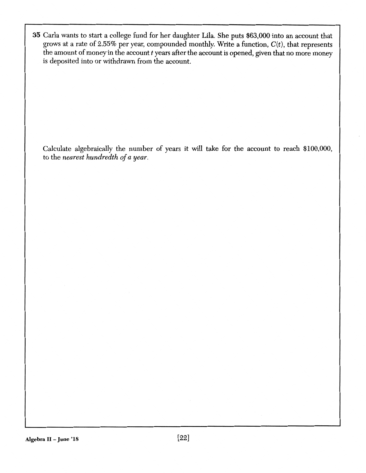35 Carla wants to start a college fund for her daughter Lila. She puts \$63,000 into an account that grows at a rate of 2.55% per year, compounded monthly. Write a function,  $C(t)$ , that represents the amount of money in the account  $t$  years after the account is opened, given that no more money is deposited into or withdrawn from the account.

Calculate algebraically the number of years it will take for the account to reach \$100,000, to the *nearest hundredth of a year.*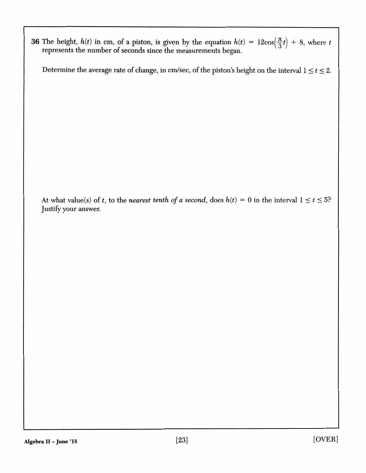**36** The height,  $h(t)$  in cm, of a piston, is given by the equation  $h(t) = 12\cos(\frac{\pi}{3}t) + 8$ , where t represents the number of seconds since the measurements began.

Determine the average rate of change, in cm/sec, of the piston's height on the interval  $1 \le t \le 2$ .

At what value(s) of *t*, to the *nearest tenth of a second*, does  $h(t) = 0$  in the interval  $1 \le t \le 5$ ? Justify your answer.